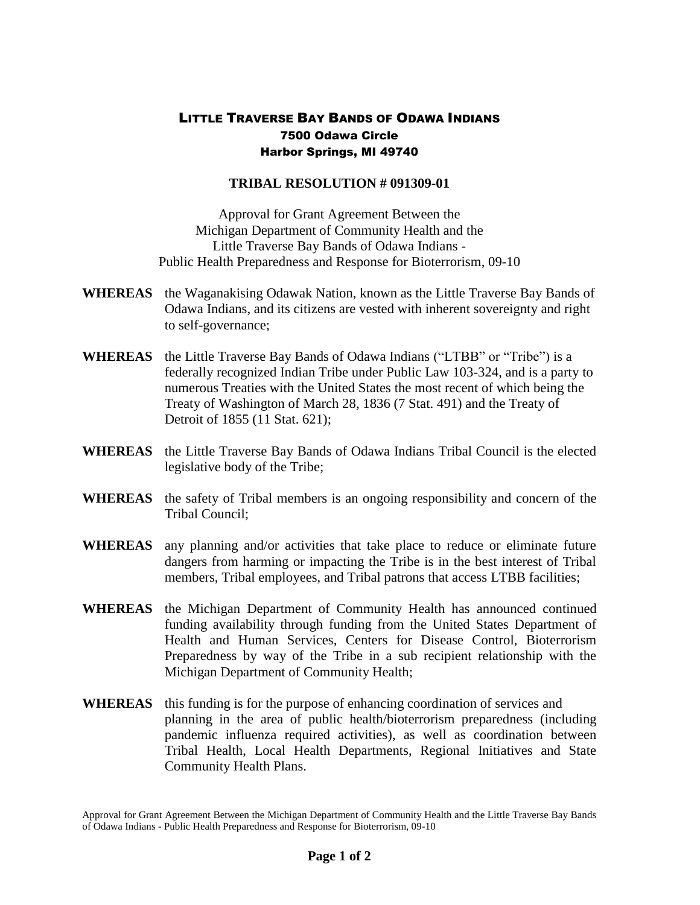## LITTLE TRAVERSE BAY BANDS OF ODAWA INDIANS 7500 Odawa Circle Harbor Springs, MI 49740

## **TRIBAL RESOLUTION # 091309-01**

Approval for Grant Agreement Between the Michigan Department of Community Health and the Little Traverse Bay Bands of Odawa Indians - Public Health Preparedness and Response for Bioterrorism, 09-10

- **WHEREAS** the Waganakising Odawak Nation, known as the Little Traverse Bay Bands of Odawa Indians, and its citizens are vested with inherent sovereignty and right to self-governance;
- **WHEREAS** the Little Traverse Bay Bands of Odawa Indians ("LTBB" or "Tribe") is a federally recognized Indian Tribe under Public Law 103-324, and is a party to numerous Treaties with the United States the most recent of which being the Treaty of Washington of March 28, 1836 (7 Stat. 491) and the Treaty of Detroit of 1855 (11 Stat. 621);
- **WHEREAS** the Little Traverse Bay Bands of Odawa Indians Tribal Council is the elected legislative body of the Tribe;
- **WHEREAS** the safety of Tribal members is an ongoing responsibility and concern of the Tribal Council;
- **WHEREAS** any planning and/or activities that take place to reduce or eliminate future dangers from harming or impacting the Tribe is in the best interest of Tribal members, Tribal employees, and Tribal patrons that access LTBB facilities;
- **WHEREAS** the Michigan Department of Community Health has announced continued funding availability through funding from the United States Department of Health and Human Services, Centers for Disease Control, Bioterrorism Preparedness by way of the Tribe in a sub recipient relationship with the Michigan Department of Community Health;
- **WHEREAS** this funding is for the purpose of enhancing coordination of services and planning in the area of public health/bioterrorism preparedness (including pandemic influenza required activities), as well as coordination between Tribal Health, Local Health Departments, Regional Initiatives and State Community Health Plans.

Approval for Grant Agreement Between the Michigan Department of Community Health and the Little Traverse Bay Bands of Odawa Indians - Public Health Preparedness and Response for Bioterrorism, 09-10